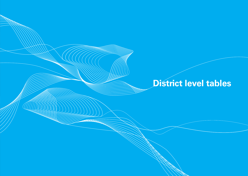<u>AAAAA</u>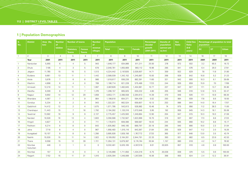## **1 | Population Demographics**

| S <sub>1</sub><br>No. | <b>District</b>    | Area (Sq<br>km) | <b>Number</b><br>of | Number of towns                  |                               | <b>Number</b><br>of | <b>Population</b> |             | Percentage<br><b>Density of</b><br>decadal<br>population |                           | <b>Sex</b><br>Ratio   | <b>Child Sex</b><br>Ratio | Percentage of population to total<br>population |           |           |              |
|-----------------------|--------------------|-----------------|---------------------|----------------------------------|-------------------------------|---------------------|-------------------|-------------|----------------------------------------------------------|---------------------------|-----------------------|---------------------------|-------------------------------------------------|-----------|-----------|--------------|
|                       |                    |                 | talukas             | <b>Statutory</b><br><b>Towns</b> | <b>Census</b><br><b>Towns</b> | revenue<br>villages | <b>Total</b>      | <b>Male</b> | <b>Female</b>                                            | growth<br>$(2001 - 2011)$ | (person per<br>sq km) |                           | $(0-6)$<br>years)                               | <b>SC</b> | <b>ST</b> | <b>Urban</b> |
| $\overline{1}$        | $\overline{2}$     | 3               | $\overline{4}$      | 5                                | 6                             | $\overline{7}$      | 8                 | 9           | 10                                                       | 11                        | 12                    | 13                        | 14                                              | 16        | 17        | 18           |
|                       | Year               | 2001            | 2011                | 2011                             | 2011                          | 2011                | 2011              | 2011        | 2011                                                     | 2011                      | 2011                  | 2011                      | 2011                                            | 2001      | 2001      | 2011         |
| $\mathbf{1}$          | Nandurbar          | 5,955           | 6                   | $\overline{4}$                   | 5                             | 943                 | 1,646,177         | 834,866     | 811,311                                                  | 25.50                     | 276                   | 972                       | 932                                             | 3.2       | 65.5      | 16.72        |
| 2                     | Dhule              | 7,195           | $\overline{4}$      | 3                                | 5                             | 678                 | 2,048,781         | 1,055,669   | 993,112                                                  | 19.96                     | 285                   | 941                       | 876                                             | 6.4       | 26.0      | 27.91        |
| 3                     | Jalgaon            | 11.765          | 15                  | 15                               | 5                             | 1,513               | 4,224,442         | 2,197,835   | 2,026,607                                                | 14.71                     | 359                   | 922                       | 829                                             | 7.8       | 11.8      | 31.80        |
| $\overline{4}$        | Buldana            | 9,661           | 13                  | 11                               | $\overline{1}$                | 1,442               | 2,588,039         | 1,342,152   | 1,245,887                                                | 15.93                     | 268                   | 928                       | 842                                             | 10.8      | 5.2       | 21.23        |
| 5                     | Akola              | 5,676           | $\overline{7}$      | 6                                | 6                             | 986                 | 1,818,617         | 936,226     | 882,391                                                  | 11.60                     | 321                   | 942                       | 900                                             | 10.3      | 6.1       | 39.69        |
| 6                     | Washim             | 4,898           | 6                   | $\overline{4}$                   | $\mathbf 0$                   | 789                 | 1,196,714         | 621,228     | 575,486                                                  | 17.23                     | 244                   | 926                       | 859                                             | 15.9      | 7.0       | 17.69        |
| 7                     | Amravati           | 12,210          | 14                  | 11                               | $\overline{1}$                | 1,997               | 2,887,826         | 1,482,845   | 1,404,981                                                | 10.77                     | 237                   | 947                       | 927                                             | 17.1      | 13.7      | 35.90        |
| 8                     | Wardha             | 6,309           | 8                   | 6                                | $7\overline{ }$               | 1,376               | 1,296,157         | 665,925     | 630,232                                                  | 4.80                      | 205                   | 946                       | 916                                             | 12.8      | 12.5      | 32.47        |
| 9                     | Nagpur             | 9,892           | 14                  | 12                               | 29                            | 1,859               | 4,653,171         | 2,388,558   | 2,264,613                                                | 14.39                     | 470                   | 948                       | 926                                             | 17.1      | 10.9      | 68.30        |
| 10                    | <b>Bhandara</b>    | 4,087           | $\overline{7}$      | 3                                | 9                             | 864                 | 1,198,810         | 604,371     | 594,439                                                  | 5.52                      | 293                   | 984                       | 939                                             | 17.8      | 8.6       | 19.50        |
| 11                    | Gondiya            | 5,234           | 8                   | 2                                | 8                             | 943                 | 1,322,331         | 662,524     | 659,807                                                  | 10.13                     | 253                   | 996                       | 944                                             | 14.0      | 16.4      | 17.07        |
| 12                    | Gadchiroli         | 14,412          | 12                  | 2                                | $\overline{4}$                | 1,675               | 1,071,795         | 542,813     | 528,982                                                  | 10.46                     | 74                    | 975                       | 956                                             | 11.2      | 38.3      | 11.00        |
| 13                    | Chandrapur         | 11,443          | 15                  | $\overline{7}$                   | 16                            | 1,792               | 2,194,262         | 1,120,316   | 1,073,946                                                | 5.95                      | 192                   | 959                       | 945                                             | 14.3      | 18.1      | 35.08        |
| 14                    | Yavatmal           | 13,582          | 16                  | 9                                | 9                             | 2,137               | 2,775,457         | 1,425,593   | 1,349,864                                                | 12.90                     | 204                   | 947                       | 915                                             | 10.3      | 19.3      | 21.59        |
| 15                    | Nanded             | 10,528          | 16                  | 13                               | $\overline{4}$                | 1.603               | 3,356,566         | 1,732,567   | 1,623,999                                                | 16.70                     | 319                   | 937                       | 897                                             | 17.3      | 8.8       | 27.23        |
| 16                    | Hingoli            | 4,827           | 5                   | 3                                | $\mathbf 0$                   | 711                 | 1,178,973         | 609,386     | 569,587                                                  | 19.43                     | 244                   | 935                       | 868                                             | 10.2      | 8.8       | 15.17        |
| 17                    | Parbhani           | 6,214           | 9                   | 8                                | $\mathbf 0$                   | 843                 | 1,835,982         | 946,185     | 889,797                                                  | 20.18                     | 295                   | 940                       | 866                                             | 10.0      | 2.3       | 31.04        |
| 18                    | Jalna              | 7,718           | 8                   | $\overline{4}$                   | $\mathbf 0$                   | 967                 | 1,958,483         | 1,015,116   | 943,367                                                  | 21.84                     | 255                   | 929                       | 847                                             | 11.2      | 2.0       | 19.26        |
| 19                    | Auragabad          | 10,107          | 9                   | 8                                | 8                             | 1,356               | 3,695,928         | 1,928,156   | 1,767,772                                                | 27.33                     | 365                   | 917                       | 848                                             | 13.0      | 3.5       | 43.74        |
| 20                    | Nashik             | 15,530          | 15                  | 11                               | 14                            | 1,922               | 6,109,052         | 3,164,261   | 2,944,791                                                | 22.33                     | 393                   | 931                       | 882                                             | 8.5       | 23.9      | 42.53        |
| 21                    | Thane              | 9,558           | 15                  | 12                               | 39                            | 1,721               | 11,054,131        | 5,879,387   | 5,174,744                                                | 35.94                     | 1,157                 | 880                       | 918                                             | 4.2       | 14.7      | 76.92        |
| 22                    | Mumbai<br>Suburban | 446             | 3                   | $\overline{1}$                   | $\Omega$                      | $\mathbf 0$         | 9,332,481         | 5,025,165   | 4,307,316                                                | 8.01                      | 20,925                | 857                       | 910                                             | 4.6       | 0.8       | 100.00       |
| 23                    | Mumbai             | 157             | $\mathbf{0}$        | $\mathbf 0$                      | $\overline{0}$                | $\mathbf 0$         | 3,145,966         | 1,711,650   | 1,434,316                                                | $-5.75$                   | 20,038                | 838                       | 874                                             | 5.5       | 0.6       | 100.00       |
| 24                    | Raigarh            | 7,152           | 15                  | 11                               | 31                            | 1,910               | 2,635,394         | 1,348,089   | 1,287,305                                                | 19.36                     | 368                   | 955                       | 924                                             | 2.4       | 12.2      | 36.91        |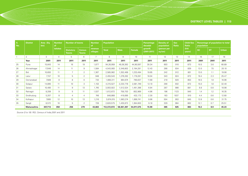| S.<br>No. | <b>District</b> | Area (Sq<br>km) | <b>Number</b>   | <b>Number of towns</b>           |                               | <b>Number</b><br>of        | <b>Population</b> |             | Percentage<br>decadal | <b>Density of</b><br>population | <b>Sex</b><br>Ratio   | <b>Child Sex</b><br>Ratio | Percentage of population to total<br>population |           |           |              |
|-----------|-----------------|-----------------|-----------------|----------------------------------|-------------------------------|----------------------------|-------------------|-------------|-----------------------|---------------------------------|-----------------------|---------------------------|-------------------------------------------------|-----------|-----------|--------------|
|           |                 |                 | talukas         | <b>Statutory</b><br><b>Towns</b> | <b>Census</b><br><b>Towns</b> | <b>revenue</b><br>villages | <b>Total</b>      | <b>Male</b> | <b>Female</b>         | growth<br>$(2001 - 2011)$       | (person per<br>sq km) |                           | $(0-6)$<br>years)                               | <b>SC</b> | <b>ST</b> | <b>Urban</b> |
|           | $\overline{2}$  | 3               | 4               | 5                                | 6                             | $\overline{7}$             | 8                 | 9           | 10                    | 11                              | 12                    | 13                        | 14                                              | 16        | 17        | 18           |
|           | Year            | 2001            | 2011            | 2011                             | 2011                          | 2011                       | 2011              | 2011        | 2011                  | 2011                            | 2011                  | 2011                      | 2011                                            | 2001      | 2001      | 2011         |
| 25        | Pune            | 15,643          | 14              | 16                               | 19                            | 1,877                      | 94,26,959         | 49,36,362   | 44,90,597             | 30.34                           | 603                   | 910                       | 873                                             | 10.5      | 3.6       | 60.89        |
| 26        | Ahmadnagar      | 17,048          | 14              | 11                               | 9                             | 1,584                      | 4,543,083         | 2,348,802   | 2,194,281             | 12.43                           | 266                   | 934                       | 839                                             | 12.0      | 7.5       | 20.10        |
| 27        | <b>Bid</b>      | 10,693          | 11              | $\overline{7}$                   | $\overline{2}$                | 1,367                      | 2,585,962         | 1,352,468   | ,233,494              | 19.65                           | 242                   | 912                       | 801                                             | 13.0      | 1.1       | 19.90        |
| 28        | Latur           | 7,157           | 10              | 5                                | $\overline{2}$                | 948                        | 2,455,543         | ,276,262    | 1,179,281             | 18.04                           | 343                   | 924                       | 872                                             | 19.4      | 2.3       | 25.47        |
| 29        | Osmanabad       | 7,569           | 8               | 8                                | 0                             | 733                        | 1,660,311         | 864,674     | 795,637               | 11.69                           | 219                   | 920                       | 853                                             | 16.5      | 1.9       | 16.96        |
| 30        | Solapur         | 14,895          | 11              | 10 <sup>°</sup>                  | 3                             | 1,153                      | 4,315,527         | 2,233,778   | 2,081,749             | 12.10                           | 290                   | 932                       | 872                                             | 15.0      | 1.8       | 32.40        |
| 31        | Satara          | 10,480          | 11              | 9                                | 13                            | 1,745                      | 3,003,922         | 1,512,524   | 1,491,398             | 6.94                            | 287                   | 986                       | 881                                             | 8.8       | 0.8       | 18.98        |
| 32        | Ratnagiri       | 8,208           | 9               | 5                                | 11                            | 1,537                      | 1,612,672         | 759,703     | 852,969               | $-4.96$                         | 196                   | 1123                      | 940                                             | 1.4       | 1.2       | 16.35        |
| 33        | Sindhudurg      | 5,207           | 8               | 4                                | 4                             | 748                        | 848,868           | 416,695     | 432,173               | $-2.30$                         | 163                   | 1037                      | 910                                             | 4.4       | 0.6       | 12.60        |
| 34        | Kolhapur        | 7,685           | 12              | 10 <sup>°</sup>                  | 13                            | 1,216                      | 3,874,015         | ,983,274    | 1,890,741             | 9.96                            | 504                   | 953                       | 845                                             | 12.8      | 0.6       | 31.75        |
| 35        | Sangli          | 8,572           | 10 <sup>1</sup> | 5                                | $\overline{2}$                | 728                        | 2,820,575         | 1,435,972   | 1,384,603             | 9.18                            | 329                   | 964                       | 862                                             | 12.1      | 0.7       | 25.51        |
|           | Maharashtra     | 307,713         | 358             | 256                              | 279                           | 43,663                     | 112,372,972       | 58,361,397  | 54,011,575            | 15.99                           | 365                   | 925                       | 883                                             | 10.2      | 8.9       | 45.23        |

*Source (3 to 18): RGI, Census of India,2001 and 2011*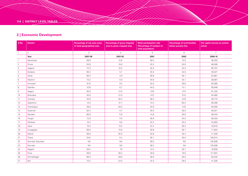## **2 | Economic Development**

| S.No.          | <b>District</b> | Percentage of net area sown<br>to total geographical area | Percentage of gross irrigated<br>area to gross cropped area | <b>Work participation rate</b><br>(Percentage of workers to<br>total population) | <b>Percentage of rural families</b><br>below poverty line | Per capita income at current<br>prices |
|----------------|-----------------|-----------------------------------------------------------|-------------------------------------------------------------|----------------------------------------------------------------------------------|-----------------------------------------------------------|----------------------------------------|
| $\overline{1}$ | $\overline{2}$  | 3                                                         | $\overline{4}$                                              | 5                                                                                | 6                                                         | $\overline{7}$                         |
|                | Year            | 2007-08                                                   | 2001-02                                                     | 2001                                                                             | 2002                                                      | 2009-10                                |
| $\overline{1}$ | Nandurbar       | 58.9                                                      | 12.6                                                        | 46.5                                                                             | 73.0                                                      | 36,203                                 |
| 2              | Dhule           | 53.8                                                      | 10.6                                                        | 43.2                                                                             | 53.6                                                      | 48,008                                 |
| 3              | Jalgaon         | 72.3                                                      | 15.2                                                        | 42.5                                                                             | 43.3                                                      | 58,797                                 |
| $\overline{4}$ | Buldana         | 69.3                                                      | 5.7                                                         | 45.5                                                                             | 44.5                                                      | 40,527                                 |
| 5              | Akola           | 80.0                                                      | 4.9                                                         | 39.8                                                                             | 48.1                                                      | 53,681                                 |
| 6              | Washim          | 73.3                                                      | 5.0                                                         | 44.6                                                                             | 43.1                                                      | 36,087                                 |
| $\overline{7}$ | Amravati        | 61.6                                                      | 9.4                                                         | 42.0                                                                             | 49.6                                                      | 50,365                                 |
| 8              | Wardha          | 57.8                                                      | 8.7                                                         | 44.5                                                                             | 41.1                                                      | 55,648                                 |
| 9              | Nagpur          | 55.8                                                      | 21.5                                                        | 37.8                                                                             | 47.4                                                      | 81,225                                 |
| 10             | Bhandara        | 45.9                                                      | 51.0                                                        | 47.3                                                                             | 51.0                                                      | 54,065                                 |
| 11             | Gondiya         | 33.8                                                      | 45.3                                                        | 48.3                                                                             | 57.9                                                      | 49,773                                 |
| 12             | Gadchiroli      | 12.0                                                      | 31.7                                                        | 51.2                                                                             | 55.0                                                      | 36,286                                 |
| 13             | Chandrapur      | 39.6                                                      | 20.5                                                        | 44.9                                                                             | 47.5                                                      | 55,260                                 |
| 14             | Yavatmal        | 62.4                                                      | 5.7                                                         | 45.5                                                                             | 45.5                                                      | 46,521                                 |
| 15             | Nanded          | 66.9                                                      | 11.6                                                        | 41.8                                                                             | 30.6                                                      | 38,444                                 |
| 16             | Hingoli         | 72.8                                                      | 17.4                                                        | 46.6                                                                             | 34.5                                                      | 38,253                                 |
| 17             | Parbhani        | 74.2                                                      | 9.6                                                         | 42.2                                                                             | 33.2                                                      | 44,093                                 |
| 18             | Jalna           | 74.0                                                      | 13.5                                                        | 44.4                                                                             | 38.3                                                      | 43,819                                 |
| 19             | Auragabad       | 68.6                                                      | 15.8                                                        | 40.6                                                                             | 28.7                                                      | 71,824                                 |
| 20             | Nashik          | 56.9                                                      | 25.3                                                        | 43.8                                                                             | 40.4                                                      | 71,526                                 |
| 21             | Thane           | 25.6                                                      | 5.4                                                         | 39.1                                                                             | 45.0                                                      | 105,914                                |
| 22             | Mumbai Suburban | <b>NA</b>                                                 | <b>NA</b>                                                   | 36.5                                                                             | <b>NA</b>                                                 | 125,506                                |
| 23             | Mumbai          | <b>NA</b>                                                 | <b>NA</b>                                                   | 39.3                                                                             | <b>NA</b>                                                 | 125,506                                |
| 24             | Raigarh         | 26.4                                                      | 7.9                                                         | 41.4                                                                             | 29.7                                                      | 87,949                                 |
| 25             | Pune            | 59.8                                                      | 28.4                                                        | 40.8                                                                             | 19.5                                                      | 111,637                                |
| 26             | Ahmadnagar      | 65.5                                                      | 29.8                                                        | 46.0                                                                             | 25.0                                                      | 53,232                                 |
| 27             | <b>Bid</b>      | 70.3                                                      | 24.5                                                        | 44.3                                                                             | 26.0                                                      | 41,535                                 |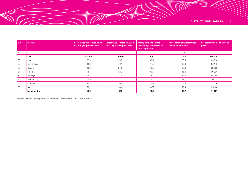| S.No. | <b>District</b> | Percentage of net area sown<br>to total geographical area | Percentage of gross irrigated<br>area to gross cropped area | <b>Work participation rate</b><br>(Percentage of workers to<br>total population) | <b>Percentage of rural families</b><br>below poverty line | Per capita income at current<br>prices |
|-------|-----------------|-----------------------------------------------------------|-------------------------------------------------------------|----------------------------------------------------------------------------------|-----------------------------------------------------------|----------------------------------------|
|       | $\overline{2}$  | 3                                                         |                                                             | 5                                                                                | 6                                                         |                                        |
|       | Year            | 2007-08                                                   | 2001-02                                                     | 2001                                                                             | 2002                                                      | 2009-10                                |
| 28    | Latur           | 72.5                                                      | 10.7                                                        | 40.4                                                                             | 29.8                                                      | 40,714                                 |
| 29    | Osmanabad       | 63.3                                                      | 16.1                                                        | 44.0                                                                             | 32.8                                                      | 38,145                                 |
| 30    | Solapur         | 69.8                                                      | 24.6                                                        | 45.3                                                                             | 29.3                                                      | 53,588                                 |
| 31    | Satara          | 52.5                                                      | 32.3                                                        | 46.4                                                                             | 15.5                                                      | 60,825                                 |
| 32    | Ratnagiri       | 29.8                                                      | 4.0                                                         | 45.0                                                                             | 34.7                                                      | 58,045                                 |
| 33    | Sindhudurg      | 26.9                                                      | 12.2                                                        | 46.6                                                                             | 39.1                                                      | 64,119                                 |
| 34    | Kolhapur        | 55.8                                                      | 26.0                                                        | 46.9                                                                             | 17.6                                                      | 71,170                                 |
| 35    | Sangli          | 71.1                                                      | 24.4                                                        | 47.2                                                                             | 16.4                                                      | 58,106                                 |
|       | Maharashtra     | 56.8                                                      | 17.8                                                        | 42.5                                                                             | 35.7                                                      | 74,027                                 |

*Source: Economic Survey, DES, Government of Maharashtra, 2009-10 and 2010-11*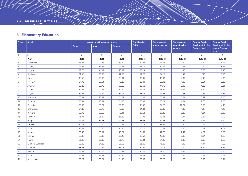## **3 | Elementary Education**

| S.No.          | <b>District</b> | Literacy rate (7 years and above) |                |               | <b>Pupil Teacher</b> | <b>Percentage of</b> | <b>Percentage of</b>      | <b>Gender Gap in</b>                      | <b>Gender Gap in</b>                               |
|----------------|-----------------|-----------------------------------|----------------|---------------|----------------------|----------------------|---------------------------|-------------------------------------------|----------------------------------------------------|
|                |                 | Person                            | <b>Male</b>    | <b>Female</b> | Ratio                | female teacher       | single teacher<br>schools | Enrolment (in %),<br><b>Primary level</b> | Enrolment (in %),<br><b>Upper Primary</b><br>level |
| $\overline{1}$ | $\overline{2}$  | 3                                 | $\overline{4}$ | 5             | 6                    | $\overline{7}$       | 8                         | 9                                         | 10                                                 |
|                | Year            | 2011                              | 2011           | 2011          | 2010-11              | 2010-11              | 2010-11                   | 2010-11                                   | 2010-11                                            |
| $\mathbf{1}$   | Nandurbar       | 63.04                             | 71.98          | 53.90         | 29.07                | 28.12                | 0.00                      | 4.90                                      | 5.97                                               |
| 2              | Dhule           | 74.61                             | 82.59          | 66.21         | 32.71                | 35.29                | 4.21                      | 7.00                                      | 8.92                                               |
| 3              | Jalgaon         | 79.73                             | 87.97          | 70.92         | 33.24                | 33.28                | 1.10                      | 8.60                                      | 9.13                                               |
| $\overline{4}$ | Buldana         | 82.09                             | 90.69          | 72.95         | 32.77                | 24.22                | 1.42                      | 7.10                                      | 5.98                                               |
| 5              | Akola           | 87.55                             | 92.89          | 81.91         | 30.95                | 40.33                | 2.69                      | 4.15                                      | 4.05                                               |
| 6              | Washim          | 81.70                             | 90.54          | 72.26         | 33.41                | 26.12                | 1.96                      | 5.54                                      | 5.22                                               |
| 7              | Amravati        | 88.23                             | 92.70          | 83.52         | 29.59                | 44.76                | 2.93                      | 4.20                                      | 3.21                                               |
| 8              | Wardha          | 87.22                             | 92.27          | 81.89         | 24.53                | 45.48                | 4.84                      | 4.62                                      | 3.93                                               |
| 9              | Nagpur          | 89.52                             | 93.76          | 85.07         | 28.32                | 62.53                | 0.88                      | 4.32                                      | 3.31                                               |
| 10             | Bhandara        | 85.14                             | 93.17          | 77.02         | 27.12                | 37.81                | 0.64                      | 3.12                                      | 2.88                                               |
| 11             | Gondiya         | 85.41                             | 93.54          | 77.30         | 26.37                | 30.24                | 4.81                      | 2.60                                      | 2.06                                               |
| 12             | Gadchiroli      | 70.55                             | 80.21          | 60.66         | 21.48                | 24.26                | 12.77                     | 3.50                                      | 4.18                                               |
| 13             | Chandrapur      | 81.35                             | 88.73          | 73.65         | 24.84                | 36.35                | 1.49                      | 4.47                                      | 4.47                                               |
| 14             | Yavatmal        | 80.70                             | 88.58          | 72.41         | 29.54                | 33.46                | 5.35                      | 4.94                                      | 5.20                                               |
| 15             | Nanded          | 76.94                             | 86.62          | 66.68         | 31.02                | 28.95                | 2.34                      | 3.52                                      | 2.98                                               |
| 16             | Hingoli         | 76.04                             | 86.73          | 64.73         | 33.48                | 22.43                | 2.85                      | 3.97                                      | 4.90                                               |
| 17             | Parbhani        | 75.22                             | 85.66          | 64.27         | 32.01                | 29.34                | 4.45                      | 4.84                                      | 6.38                                               |
| 18             | Jalna           | 73.61                             | 85.25          | 61.28         | 33.28                | 27.11                | 4.96                      | 4.39                                      | 6.01                                               |
| 19             | Auragabad       | 80.40                             | 89.31          | 70.81         | 31.57                | 42.73                | 2.42                      | 4.22                                      | 5.90                                               |
| 20             | Nashik          | 80.96                             | 88.03          | 73.43         | 32.52                | 42.69                | 3.98                      | 6.04                                      | 6.62                                               |
| 21             | Thane           | 86.18                             | 90.90          | 80.78         | 36.44                | 64.98                | 3.12                      | 6.05                                      | 6.86                                               |
| 22             | Mumbai Suburban | 90.90                             | 94.28          | 86.93         | 35.60                | 75.62                | 1.30                      | 4.14                                      | 1.08                                               |
| 23             | Mumbai          | 88.48                             | 90.54          | 86.03         | 30.89                | 70.01                | 0.00                      | 8.24                                      | 8.85                                               |
| 24             | Raigarh         | 83.89                             | 90.68          | 76.79         | 24.78                | 49.66                | 5.13                      | 4.56                                      | 5.46                                               |
| 25             | Pune            | 87.19                             | 92.72          | 81.13         | 32.02                | 60.99                | 3.23                      | 6.91                                      | 7.32                                               |
| 26             | Ahmadnagar      | 80.22                             | 88.81          | 71.15         | 30.32                | 39.20                | 1.59                      | 8.78                                      | 8.71                                               |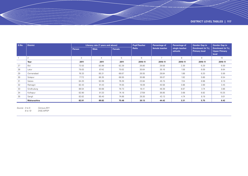| S.No. | <b>District</b>    |        | Literacy rate (7 years and above) |        | <b>Pupil Teacher</b> | Percentage of  | Percentage of             | <b>Gender Gap in</b>                      | <b>Gender Gap in</b>                               |  |
|-------|--------------------|--------|-----------------------------------|--------|----------------------|----------------|---------------------------|-------------------------------------------|----------------------------------------------------|--|
|       |                    | Person | <b>Male</b>                       | Female | Ratio                | female teacher | single teacher<br>schools | Enrolment (in %),<br><b>Primary level</b> | Enrolment (in %),<br><b>Upper Primary</b><br>level |  |
|       | $\overline{2}$     | 3      | 4                                 | 5      | 6                    | $\overline{7}$ | 8                         | 9                                         | 10                                                 |  |
|       | Year               | 2011   | 2011                              | 2011   | 2010-11              | 2010-11        | 2010-11                   | 2010-11                                   | 2010-11                                            |  |
| 27    | <b>Bid</b>         | 73.53  | 83.99                             | 62.29  | 26.80                | 29.58          | 2.39                      | 6.29                                      | 6.59                                               |  |
| 28    | Latur              | 79.03  | 87.42                             | 70.02  | 30.64                | 30.16          | 1.58                      | 6.09                                      | 8.64                                               |  |
| 29    | Osmanabad          | 76.33  | 85.31                             | 66.67  | 26.55                | 28.84          | 1.88                      | 6.20                                      | 5.56                                               |  |
| 30    | Solapur            | 77.72  | 86.35                             | 68.55  | 30.88                | 36.07          | 1.92                      | 5.86                                      | 6.54                                               |  |
| 31    | Satara             | 84.20  | 92.09                             | 76.29  | 23.84                | 45.15          | 7.24                      | 6.98                                      | 8.10                                               |  |
| 32    | Ratnagiri          | 82.43  | 91.43                             | 74.55  | 18.09                | 40.58          | 3.88                      | 2.89                                      | 3.45                                               |  |
| 33    | Sindhudurg         | 86.54  | 93.68                             | 79.73  | 18.41                | 48.39          | 8.87                      | 3.74                                      | 3.86                                               |  |
| 34    | Kolhapur           | 82.90  | 91.33                             | 74.18  | 27.59                | 36.85          | 3.68                      | 8.82                                      | 10.25                                              |  |
| 35    | Sangli             | 82.62  | 90.40                             | 74.66  | 29.30                | 43.13          | 4.74                      | 8.19                                      | 9.01                                               |  |
|       | <b>Maharashtra</b> | 82.91  | 89.82                             | 75.48  | 30.13                | 44.42          | 3.31                      | 5.75                                      | 6.42                                               |  |

*Source : 3 to 5 Census,2011* 

*6 to 10 DISE,MPSP*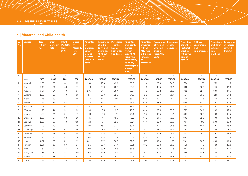## **4 | Maternal and Child health**

| S.<br>No.      | <b>District</b> | <b>Total</b><br>fertility<br>rate | <b>Infant</b><br><b>Mortality</b><br>Rate | <b>Infant</b><br><b>Mortality</b><br>Rate,<br>2001 | <b>Under</b><br><b>five</b><br><b>Mortality</b><br>Rate,<br>2001 | Percentage<br>of<br>marriages<br>below<br>legal at<br>marriage,<br>Girls $<$ 18<br>years | <b>Percentage</b><br>of births<br>to women<br>during age<br>15-19 out<br>of total<br><b>births</b> | <b>Percentage</b><br>of births<br>having<br>birth order<br>3 and more | Percentage<br>of currently<br>married<br>women<br>aged 15-49<br>years who<br>are currently<br>using any<br>contraceptive<br>method<br>(CPR) | Percentage<br>of women<br>with an<br><b>ANC visit</b><br>in the first<br>trimester<br>of<br>pregnancy | <b>Percentage</b><br>of women<br>who had<br>three or<br>more ANC<br>visits | <b>Percentage</b><br>of safe<br>deliveries | Percentage<br>of mothers<br><b>Postnatal</b><br>check up<br>within two<br>days of<br>delivery | <b>All basic</b><br>vaccinations<br>(Full<br><i>immunization</i> ) | <b>Percentage</b><br>of children<br>suffered<br>from<br>diarrhoea | Percentage<br>of children<br>suffered<br>from ARI |
|----------------|-----------------|-----------------------------------|-------------------------------------------|----------------------------------------------------|------------------------------------------------------------------|------------------------------------------------------------------------------------------|----------------------------------------------------------------------------------------------------|-----------------------------------------------------------------------|---------------------------------------------------------------------------------------------------------------------------------------------|-------------------------------------------------------------------------------------------------------|----------------------------------------------------------------------------|--------------------------------------------|-----------------------------------------------------------------------------------------------|--------------------------------------------------------------------|-------------------------------------------------------------------|---------------------------------------------------|
| $\overline{1}$ | $\overline{2}$  | 3                                 | $\overline{4}$                            | 5                                                  | 6                                                                | $7^{\circ}$                                                                              | 8                                                                                                  | 9                                                                     | 10 <sup>°</sup>                                                                                                                             | 11                                                                                                    | 12                                                                         | 13                                         | 14                                                                                            | 15                                                                 | 16                                                                | 17                                                |
|                | Year            | 2009                              | 2009                                      | 2001                                               | 2001                                                             | 2007-08                                                                                  | 2007-08                                                                                            | 2007-08                                                               | 2007-08                                                                                                                                     | 2007-08                                                                                               | 2007-08                                                                    | 2007-08                                    | 2007-08                                                                                       | 2007-08                                                            | 2007-08                                                           | 2007-08                                           |
|                | Nandurbar       | 2.35                              | 36                                        | 61                                                 | 85                                                               | 26.6                                                                                     | 19.3                                                                                               | 43.1                                                                  | 58.8                                                                                                                                        | 29.4                                                                                                  | 38.3                                                                       | 34.0                                       | 37.4                                                                                          | 17.0                                                               | 17.5                                                              | 11.5                                              |
| 2              | Dhule           | 2.16                              | 31                                        | 56                                                 | 77                                                               | 14.6                                                                                     | 20.9                                                                                               | 29.4                                                                  | 69.7                                                                                                                                        | 40.6                                                                                                  | 49.5                                                                       | 59.4                                       | 63.0                                                                                          | 35.0                                                               | 24.5                                                              | 14.8                                              |
| 3              | Jalgaon         | 2.01                              | 34                                        | 50                                                 | 67                                                               | 20.7                                                                                     | 21.4                                                                                               | 35.4                                                                  | 68.7                                                                                                                                        | 46.6                                                                                                  | 58.2                                                                       | 65.2                                       | 68.2                                                                                          | 52.1                                                               | 30.5                                                              | 14.5                                              |
| $\overline{4}$ | Buldana         | 2.65                              | 35                                        | 49                                                 | 65                                                               | 17.4                                                                                     | 23.3                                                                                               | 22.6                                                                  | 64.5                                                                                                                                        | 61.0                                                                                                  | 66.7                                                                       | 70.4                                       | 77.4                                                                                          | 73.8                                                               | 31.3                                                              | 21.2                                              |
| 5              | Akola           | 2.16                              | 30                                        | 44                                                 | 58                                                               | 7.4                                                                                      | 14.7                                                                                               | 27.1                                                                  | 68.9                                                                                                                                        | 60.8                                                                                                  | 69.1                                                                       | 78.4                                       | 75.8                                                                                          | 72.6                                                               | 25.8                                                              | 14.9                                              |
| 6              | Washim          | 2.49                              | 37                                        | 52                                                 | 71                                                               | 23.8                                                                                     | 29.1                                                                                               | 23.2                                                                  | 66.9                                                                                                                                        | 66.6                                                                                                  | 68.6                                                                       | 72.0                                       | 69.6                                                                                          | 68.2                                                               | 15.2                                                              | 14.9                                              |
| $\overline{7}$ | Amravati        | 1.97                              | 30                                        | 61                                                 | 85                                                               | 10.1                                                                                     | 16.1                                                                                               | 25.3                                                                  | 72.7                                                                                                                                        | 70.2                                                                                                  | 77.9                                                                       | 65.9                                       | 76.5                                                                                          | 61.8                                                               | 24.1                                                              | 15.4                                              |
| 8              | Wardha          | 1.75                              | 44                                        | 51                                                 | 69                                                               | 0.0                                                                                      | 8.5                                                                                                | 13.8                                                                  | 78.6                                                                                                                                        | 80.4                                                                                                  | 88.6                                                                       | 83.3                                       | 87.3                                                                                          | 84.1                                                               | 24.5                                                              | 12.0                                              |
| 9              | Nagpur          | 1.82                              | 24                                        | 54                                                 | 74                                                               | 1.2                                                                                      | 7.3                                                                                                | 17.3                                                                  | 70.4                                                                                                                                        | 74.7                                                                                                  | 95.5                                                                       | 84.4                                       | 88.7                                                                                          | 90.5                                                               | 19.2                                                              | 16.5                                              |
| 10             | Bhandara        | 2.08                              | 37                                        | 68                                                 | 96                                                               | 1.7                                                                                      | 4.4                                                                                                | 15.5                                                                  | 70.3                                                                                                                                        | 65.8                                                                                                  | 84.5                                                                       | 70.3                                       | 69.8                                                                                          | 72.2                                                               | 19.5                                                              | 18.3                                              |
| 11             | Gondiya         | 2.06                              | 26                                        | 73                                                 | 105                                                              | 2.6                                                                                      | 5.4                                                                                                | 22.6                                                                  | 65.7                                                                                                                                        | 62.4                                                                                                  | 83.0                                                                       | 62.8                                       | 76.4                                                                                          | 87.8                                                               | 20.5                                                              | 20.3                                              |
| 12             | Gadchiroli      | 2.08                              | 28                                        | 75                                                 | 108                                                              | 9.5                                                                                      | 16.5                                                                                               | 33.7                                                                  | 59.1                                                                                                                                        | 46.7                                                                                                  | 72.5                                                                       | 34.6                                       | 61.9                                                                                          | 46.4                                                               | 20.1                                                              | 16.9                                              |
| 13             | Chandrapur      | 1.59                              | 21                                        | 67                                                 | 95                                                               | 2.1                                                                                      | 8.5                                                                                                | 11.1                                                                  | 67.5                                                                                                                                        | 71.0                                                                                                  | 83.2                                                                       | 59.9                                       | 75.0                                                                                          | 75.4                                                               | 15.9                                                              | 8.4                                               |
| 14             | Yavatmal        | 1.96                              | 37                                        | 61                                                 | 85                                                               | 10.5                                                                                     | 21.8                                                                                               | 24.6                                                                  | 67.6                                                                                                                                        | 61.3                                                                                                  | 71.5                                                                       | 59.4                                       | 74.2                                                                                          | 68.8                                                               | 26.1                                                              | 12.0                                              |
| 15             | Nanded          | 2.45                              | 35                                        | 57                                                 | 78                                                               | 31.5                                                                                     | 26.8                                                                                               | 33.9                                                                  | 60.1                                                                                                                                        | 59.8                                                                                                  | 76.2                                                                       | 61.4                                       | 65.2                                                                                          | 72.3                                                               | 20.4                                                              | 7.9                                               |
| 16             | Hingoli         | 2.57                              | 23                                        | 54                                                 | 74                                                               | 39.1                                                                                     | 34.7                                                                                               | 36.5                                                                  | 62.6                                                                                                                                        | 47.9                                                                                                  | 69.3                                                                       | 47.3                                       | 70.1                                                                                          | 52.2                                                               | 26.3                                                              | 14.6                                              |
| 17             | Parbhani        | 2.21                              | 26                                        | 50                                                 | 67                                                               | 27.7                                                                                     | 29.6                                                                                               | 34.4                                                                  | 58.1                                                                                                                                        | 60.9                                                                                                  | 69.0                                                                       | 70.2                                       | 77.6                                                                                          | 71.6                                                               | 18.9                                                              | 13.0                                              |
| 18             | Jalna           | 2.67                              | 22                                        | 56                                                 | 76                                                               | 31.6                                                                                     | 30.9                                                                                               | 28.6                                                                  | 55.6                                                                                                                                        | 58.1                                                                                                  | 69.3                                                                       | 71.5                                       | 71.7                                                                                          | 68.5                                                               | 25.2                                                              | 14.6                                              |
| 19             | Auragabad       | 2.33                              | 34                                        | 51                                                 | 69                                                               | 37.8                                                                                     | 29.9                                                                                               | 34.9                                                                  | 59.0                                                                                                                                        | 51.0                                                                                                  | 57.2                                                                       | 76.0                                       | 65.9                                                                                          | 61.8                                                               | 20.5                                                              | 11.6                                              |
| 20             | Nashik          | 2.17                              | 28                                        | 51                                                 | 68                                                               | 22.4                                                                                     | 22.4                                                                                               | 26.4                                                                  | 70.2                                                                                                                                        | 62.2                                                                                                  | 71.6                                                                       | 68.8                                       | 73.1                                                                                          | 68.0                                                               | 18.4                                                              | 12.8                                              |
| 21             | Thane           | 2.47                              | 30                                        | 39                                                 | 51                                                               | 18.4                                                                                     | 13.9                                                                                               | 28.4                                                                  | 59.7                                                                                                                                        | 67.8                                                                                                  | 84.7                                                                       | 73.2                                       | 76.7                                                                                          | 73.6                                                               | 14.3                                                              | 12.2                                              |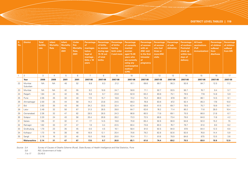| S.<br>No.      | <b>District</b>    | <b>Total</b><br>fertility<br>rate | <b>Infant</b><br><b>Mortality</b><br>Rate | <b>Infant</b><br><b>Mortality</b><br>Rate,<br>2001 | <b>Under</b><br>five<br><b>Mortality</b><br>Rate,<br>2001 | Percentage<br>of<br>marriages<br>below<br>legal at<br>marriage,<br>Girls $<$ 18<br>years | Percentage<br>of births<br>to women<br>during age<br>15-19 out<br>of total<br><b>births</b> | <b>Percentage</b><br>of births<br>having<br>birth order<br>3 and more | Percentage<br>of currently<br>married<br>women<br>aged 15-49<br>years who<br>are currently<br>using any<br>contraceptive<br>method<br>(CPR) | <b>Percentage</b><br>of women<br>with an<br><b>ANC visit</b><br>in the first<br>trimester<br>of<br>pregnancy | Percentage<br>of women<br>who had<br>three or<br>more ANC<br><b>visits</b> | Percentage<br>of safe<br>deliveries | Percentage<br>of mothers<br><b>Postnatal</b><br>check up<br>within two<br>days of<br>delivery | <b>All basic</b><br>vaccinations<br>(Full<br>immunization) | Percentage<br>of children<br>suffered<br>from<br>diarrhoea | Percentage<br>of children<br>suffered<br>from ARI |
|----------------|--------------------|-----------------------------------|-------------------------------------------|----------------------------------------------------|-----------------------------------------------------------|------------------------------------------------------------------------------------------|---------------------------------------------------------------------------------------------|-----------------------------------------------------------------------|---------------------------------------------------------------------------------------------------------------------------------------------|--------------------------------------------------------------------------------------------------------------|----------------------------------------------------------------------------|-------------------------------------|-----------------------------------------------------------------------------------------------|------------------------------------------------------------|------------------------------------------------------------|---------------------------------------------------|
| $\overline{1}$ | 2                  | 3                                 | $\overline{4}$                            | 5                                                  | 6                                                         | $7^{\circ}$                                                                              | 8                                                                                           | 9                                                                     | 10                                                                                                                                          | 11                                                                                                           | 12                                                                         | 13                                  | 14                                                                                            | 15                                                         | 16                                                         | 17                                                |
|                | Year               | 2009                              | 2009                                      | 2001                                               | 2001                                                      | 2007-08                                                                                  | 2007-08                                                                                     | 2007-08                                                               | 2007-08                                                                                                                                     | 2007-08                                                                                                      | 2007-08                                                                    | 2007-08                             | 2007-08                                                                                       | 2007-08                                                    | 2007-08                                                    | 2007-08                                           |
| 22             | Mumbai<br>Suburban | <b>NA</b>                         | <b>NA</b>                                 | 40                                                 | 52                                                        | 8.8                                                                                      | 8.3                                                                                         | 21.2                                                                  | 61.1                                                                                                                                        | 69.6                                                                                                         | 89.7                                                                       | 95.3                                | 92.6                                                                                          | 84.7                                                       | 12.5                                                       | 11.2                                              |
| 23             | Mumbai             | <b>NA</b>                         | <b>NA</b>                                 | 42                                                 | 55                                                        | 9.2                                                                                      | 10.6                                                                                        | 24.7                                                                  | 58.6                                                                                                                                        | 71.1                                                                                                         | 92.7                                                                       | 93.5                                | 90.7                                                                                          | 76.7                                                       | 9.4                                                        | 5.7                                               |
| 24             | Raigarh            | 1.84                              | 24                                        | 42                                                 | 55                                                        | 5.8                                                                                      | 9.7                                                                                         | 23.8                                                                  | 62.9                                                                                                                                        | 63.2                                                                                                         | 83.8                                                                       | 75.1                                | 79.5                                                                                          | 77.8                                                       | 14.8                                                       | 5.9                                               |
| 25             | Pune               | 2.05                              | 25                                        | 32                                                 | 40                                                        | 17.3                                                                                     | 15.7                                                                                        | 18.8                                                                  | 72.2                                                                                                                                        | 75.2                                                                                                         | 89.0                                                                       | 87.9                                | 90.1                                                                                          | 86.1                                                       | 14.5                                                       | 9.1                                               |
| 26             | Ahmadnagar         | 2.00                              | 25                                        | 44                                                 | 58                                                        | 14.2                                                                                     | 23.8                                                                                        | 24.5                                                                  | 69.3                                                                                                                                        | 76.8                                                                                                         | 83.6                                                                       | 87.2                                | 92.4                                                                                          | 85.3                                                       | 17.8                                                       | 10.0                                              |
| 27             | Bid                | 2.63                              | 35                                        | 43                                                 | 56                                                        | 34.2                                                                                     | 33.5                                                                                        | 32.4                                                                  | 62.4                                                                                                                                        | 58.8                                                                                                         | 61.5                                                                       | 69.7                                | 79.5                                                                                          | 75.7                                                       | 19.9                                                       | 10.7                                              |
| 28             | Latur              | 2.49                              | 32                                        | 50                                                 | 67                                                        | 31.3                                                                                     | 28.5                                                                                        | 28.0                                                                  | 64.7                                                                                                                                        | 62.6                                                                                                         | 76.2                                                                       | 71.4                                | 80.2                                                                                          | 71.6                                                       | 28.0                                                       | 10.4                                              |
| 29             | Osmanabad          | 2.36                              | 32                                        | 47                                                 | 62                                                        | 28.5                                                                                     | 28.5                                                                                        | 24.3                                                                  | 66.8                                                                                                                                        | 60.5                                                                                                         | 71.9                                                                       | 69.1                                | 75.5                                                                                          | 66.0                                                       | 21.8                                                       | 6.7                                               |
| 30             | Solapur            | 2.20                              | 24                                        | 43                                                 | 56                                                        | 20.4                                                                                     | 26.8                                                                                        | 28.2                                                                  | 73.3                                                                                                                                        | 72.5                                                                                                         | 86.6                                                                       | 73.4                                | 79.0                                                                                          | 84.0                                                       | 11.8                                                       | 4.2                                               |
| 31             | Satara             | 1.95                              | 31                                        | 32                                                 | 41                                                        | 7.7                                                                                      | 14.5                                                                                        | 19.8                                                                  | 70.8                                                                                                                                        | 65.4                                                                                                         | 92.6                                                                       | 90.9                                | 94.8                                                                                          | 92.0                                                       | 15.2                                                       | 7.5                                               |
| 32             | Ratnagiri          | 1.62                              | 33                                        | 37                                                 | 47                                                        | 1.9                                                                                      | 3.4                                                                                         | 22.5                                                                  | 60.4                                                                                                                                        | 73.8                                                                                                         | 83.3                                                                       | 76.7                                | 79.7                                                                                          | 81.0                                                       | 9.0                                                        | 9.2                                               |
| 33             | Sindhudurg         | 1.70                              | 23                                        | 35                                                 | 45                                                        | 0.0                                                                                      | 4.5                                                                                         | 16.1                                                                  | 58.4                                                                                                                                        | 81.0                                                                                                         | 92.5                                                                       | 94.0                                | 97.0                                                                                          | 84.4                                                       | 12.3                                                       | 6.0                                               |
| 34             | Kolhapur           | 1.73                              | 19                                        | 38                                                 | 48                                                        | 16.9                                                                                     | 12.1                                                                                        | 20.4                                                                  | 70.6                                                                                                                                        | 79.2                                                                                                         | 82.8                                                                       | 92.6                                | 92.6                                                                                          | 76.8                                                       | 14.4                                                       | 5.9                                               |
| 35             | Sangli             | 2.18                              | 16                                        | 32                                                 | 40                                                        | 15.0                                                                                     | 19.8                                                                                        | 20.0                                                                  | 70.4                                                                                                                                        | 71.1                                                                                                         | 81.6                                                                       | 78.9                                | 84.6                                                                                          | 87.5                                                       | 13.5                                                       | 3.8                                               |
|                | Maharashtra        | 2.14                              | 31                                        | 47                                                 | 67                                                        | 17.6                                                                                     | 9.7                                                                                         | 26.8                                                                  | 65.1                                                                                                                                        | 61.6                                                                                                         | 74.4                                                                       | 69.2                                | 75.5                                                                                          | 69.0                                                       | 19.9                                                       | 12.9                                              |

*Source : 3,4 Survey of Causes of Deaths Scheme (Rural), State Bureau of Health Intelligence and Vital Statistics, Pune* 

*5,6 RGI, Government of India* 

*7 to 8 ICDS,MPR from www.*

*icds.gov.in*

*7 to 17 DLHS-3*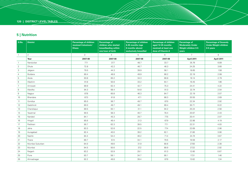## **5 | Nutrition**

| S.No.          | <b>District</b> | Percentage of children<br>received Colostrum/<br><b>Khees</b> | <b>Percentage of</b><br>children who started<br>breastfeeding within<br>one hour of birth | <b>Percentage of children</b><br>6-35 months (age<br>6 months above)<br>exclusively breastfed | Percentage of children<br>aged 12-35 months<br>received at least one<br>dose of Vitamin A | <b>Percentage of</b><br><b>Moderately Under</b><br>Weight children 0-5<br>years | <b>Percentage of Severely</b><br><b>Under Weight children</b><br>0-5 years |
|----------------|-----------------|---------------------------------------------------------------|-------------------------------------------------------------------------------------------|-----------------------------------------------------------------------------------------------|-------------------------------------------------------------------------------------------|---------------------------------------------------------------------------------|----------------------------------------------------------------------------|
| $\overline{1}$ | $\overline{2}$  | 3                                                             | $\overline{4}$                                                                            | 5                                                                                             | 6                                                                                         | $\overline{7}$                                                                  | 8                                                                          |
|                | Year            | 2007-08                                                       | 2007-08                                                                                   | 2007-08                                                                                       | 2007-08                                                                                   | April 2011                                                                      | April 2011                                                                 |
| $\overline{1}$ | Nandurbar       | 77.1                                                          | 37.7                                                                                      | 48.7                                                                                          | 33.7                                                                                      | 35.76                                                                           | 6.89                                                                       |
| 2              | Dhule           | 72.8                                                          | 42.2                                                                                      | 46.7                                                                                          | 46.3                                                                                      | 24.25                                                                           | 3.60                                                                       |
| 3              | Jalgaon         | 79.5                                                          | 44.3                                                                                      | 39.9                                                                                          | 56.1                                                                                      | 18.65                                                                           | 1.58                                                                       |
| $\overline{4}$ | Buldana         | 80.4                                                          | 48.8                                                                                      | 49.9                                                                                          | 66.2                                                                                      | 22.19                                                                           | 2.99                                                                       |
| 5              | Akola           | 93.8                                                          | 60.2                                                                                      | 34.3                                                                                          | 66.8                                                                                      | 19.14                                                                           | 2.79                                                                       |
| 6              | Washim          | 91.8                                                          | 50.6                                                                                      | 33.2                                                                                          | 64.1                                                                                      | 16.45                                                                           | 1.96                                                                       |
| $\overline{7}$ | Amravati        | 89.9                                                          | 62.4                                                                                      | 42.7                                                                                          | 75.3                                                                                      | 24.41                                                                           | 4.22                                                                       |
| 8              | Wardha          | 94.3                                                          | 68.4                                                                                      | 54.8                                                                                          | 91.3                                                                                      | 22.74                                                                           | 2.54                                                                       |
| 9              | Nagpur          | 87.8                                                          | 60.8                                                                                      | 46.3                                                                                          | 84.7                                                                                      | 22.19                                                                           | 2.07                                                                       |
| 10             | Bhandara        | 87.3                                                          | 61.8                                                                                      | 47.1                                                                                          | 86.3                                                                                      | 20.55                                                                           | 2.69                                                                       |
| 11             | Gondiya         | 85.0                                                          | 56.7                                                                                      | 49.7                                                                                          | 87.0                                                                                      | 22.34                                                                           | 2.92                                                                       |
| 12             | Gadchiroli      | 80.0                                                          | 49.7                                                                                      | 49.1                                                                                          | 69.4                                                                                      | 30.71                                                                           | 6.22                                                                       |
| 13             | Chandrapur      | 89.5                                                          | 63.1                                                                                      | 31.1                                                                                          | 94.2                                                                                      | 20.24                                                                           | 2.56                                                                       |
| 14             | Yavatmal        | 90.5                                                          | 58.3                                                                                      | 40.7                                                                                          | 78.4                                                                                      | 20.67                                                                           | 2.43                                                                       |
| 15             | Nanded          | 84.1                                                          | 45.3                                                                                      | 29.7                                                                                          | 77.5                                                                                      | 20.41                                                                           | 2.07                                                                       |
| 16             | Hingoli         | 85.6                                                          | 46.4                                                                                      | 21.3                                                                                          | 67.9                                                                                      | 22.98                                                                           | 4.19                                                                       |
| 17             | Parbhani        | 90.7                                                          | 62.3                                                                                      | 39.5                                                                                          | 77.1                                                                                      | 22.31                                                                           | 4.03                                                                       |
| 18             | Jalna           | 83.3                                                          | 52.6                                                                                      | 22.5                                                                                          | 77.4                                                                                      | 22.69                                                                           | 2.06                                                                       |
| 19             | Auragabad       | 82.4                                                          | 40.0                                                                                      | 39.2                                                                                          | 62.1                                                                                      | 21.80                                                                           | 3.06                                                                       |
| 20             | Nashik          | 84.4                                                          | 54.4                                                                                      | 46.2                                                                                          | 71.4                                                                                      | 24.74                                                                           | 3.67                                                                       |
| 21             | Thane           | 89.7                                                          | 57.4                                                                                      | 34.1                                                                                          | 79.5                                                                                      | 19.59                                                                           | 2.17                                                                       |
| 22             | Mumbai Suburban | 84.0                                                          | 49.6                                                                                      | 31.9                                                                                          | 80.6                                                                                      | 27.93                                                                           | 2.38                                                                       |
| 23             | Mumbai          | 94.5                                                          | 50.6                                                                                      | 37.2                                                                                          | 89.9                                                                                      | 27.22                                                                           | 2.92                                                                       |
| 24             | Raigarh         | 83.2                                                          | 53.9                                                                                      | 29.1                                                                                          | 81.3                                                                                      | 12.60                                                                           | 0.67                                                                       |
| 25             | Pune            | 93.7                                                          | 58.1                                                                                      | 34.7                                                                                          | 90.1                                                                                      | 17.31                                                                           | 1.46                                                                       |
| 26             | Ahmadnagar      | 92.2                                                          | 48.8                                                                                      | 39.4                                                                                          | 87.9                                                                                      | 13.62                                                                           | 1.34                                                                       |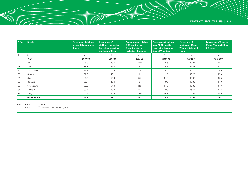| S.No. | <b>District</b> | <b>Percentage of children</b><br>received Colostrums /<br><b>Khees</b> | Percentage of<br>children who started<br>breastfeeding within<br>one hour of birth | <b>Percentage of children</b><br>6-35 months (age<br>6 months above)<br>exclusively breastfed | Percentage of children<br>aged 12-35 months<br>received at least one<br>dose of Vitamin A | Percentage of<br><b>Moderately Under</b><br>Weight children 0-5<br>years | <b>Percentage of Severely</b><br>Under Weight children<br>$0-5$ years |
|-------|-----------------|------------------------------------------------------------------------|------------------------------------------------------------------------------------|-----------------------------------------------------------------------------------------------|-------------------------------------------------------------------------------------------|--------------------------------------------------------------------------|-----------------------------------------------------------------------|
|       |                 | 3                                                                      | 4                                                                                  | 5                                                                                             | 6                                                                                         | $\overline{ }$                                                           | 8                                                                     |
|       | Year            | 2007-08                                                                | 2007-08                                                                            | 2007-08                                                                                       | 2007-08                                                                                   | April 2011                                                               | April 2011                                                            |
| 27    | <b>Bid</b>      | 78.9                                                                   | 49.5                                                                               | 25.0                                                                                          | 75.5                                                                                      | 19.24                                                                    | 1.55                                                                  |
| 28    | Latur           | 88.8                                                                   | 46.0                                                                               | 24.1                                                                                          | 76.3                                                                                      | 19.82                                                                    | 2.81                                                                  |
| 29    | Osmanabad       | 87.4                                                                   | 65.4                                                                               | 22.0                                                                                          | 74.8                                                                                      | 15.16                                                                    | 2.03                                                                  |
| 30    | Solapur         | 82.8                                                                   | 43.1                                                                               | 19.2                                                                                          | 71.6                                                                                      | 16.23                                                                    | 1.70                                                                  |
| 31    | Satara          | 89.3                                                                   | 55.9                                                                               | 35.0                                                                                          | 94.8                                                                                      | 12.97                                                                    | 1.55                                                                  |
| 32    | Ratnagiri       | 80.7                                                                   | 45.4                                                                               | 16.4                                                                                          | 87.8                                                                                      | 16.39                                                                    | 1.49                                                                  |
| 33    | Sindhudurg      | 98.3                                                                   | 74.0                                                                               | 22.2                                                                                          | 84.6                                                                                      | 19.36                                                                    | 3.40                                                                  |
| 34    | Kolhapur        | 89.4                                                                   | 50.8                                                                               | 26.1                                                                                          | 87.9                                                                                      | 15.61                                                                    | 1.22                                                                  |
| 35    | Sangli          | 87.5                                                                   | 50.5                                                                               | 26.0                                                                                          | 89.3                                                                                      | 11.11                                                                    | 0.49                                                                  |
|       | Maharashtra     | 86.1                                                                   | 52.7                                                                               | 34.7                                                                                          | 74.9                                                                                      | 20.05                                                                    | 2.41                                                                  |

*Source : 3 to 6 DLHS-3*

*7 to 8 ICDS,MPR from www.icds.gov.in*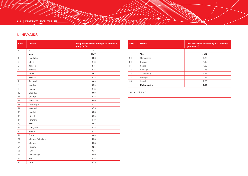## **6 | HIV/AIDS**

| S.No.          | <b>District</b> | HIV prevalence rate among ANC attendee<br>group (in %) |
|----------------|-----------------|--------------------------------------------------------|
| $\mathbf{1}$   | $\overline{2}$  | 3                                                      |
|                | Year            | 2007                                                   |
| $\mathbf{1}$   | Nandurbar       | 0.38                                                   |
| 2              | Dhule           | 1.13                                                   |
| 3              | Jalgaon         | 1.75                                                   |
| $\overline{4}$ | <b>Buldana</b>  | 0.25                                                   |
| 5              | Akola           | 0.63                                                   |
| 6              | Washim          | 0.38                                                   |
| $\overline{7}$ | Amravati        | 0.63                                                   |
| 8              | Wardha          | 0.25                                                   |
| 9              | Nagpur          | 1.13                                                   |
| 10             | Bhandara        | 0.63                                                   |
| 11             | Gondiya         | 0.38                                                   |
| 12             | Gadchiroli      | 0.00                                                   |
| 13             | Chandrapur      | 1.13                                                   |
| 14             | Yavatmal        | 0.75                                                   |
| 15             | Nanded          | 0.38                                                   |
| 16             | Hingoli         | 0.25                                                   |
| 17             | Parbhani        | 1.13                                                   |
| 18             | Jalna           | 0.63                                                   |
| 19             | Auragabad       | 0.25                                                   |
| 20             | Nashik          | 0.38                                                   |
| 21             | Thane           | 0.88                                                   |
| 22             | Mumbai Suburban | 1.38                                                   |
| 23             | Mumbai          | 1.38                                                   |
| 24             | Raigarh         | 0.25                                                   |
| 25             | Pune            | 0.25                                                   |
| 26             | Ahmadnagar      | 1.00                                                   |
| 27             | <b>Bid</b>      | 0.75                                                   |
| 28             | Latur           | 0.75                                                   |

| S.No. | <b>District</b>    | <b>HIV prevalence rate among ANC attendee</b><br>group (in %) |
|-------|--------------------|---------------------------------------------------------------|
|       | 2                  | 3                                                             |
|       | Year               | 2007                                                          |
| 29    | Osmanabad          | 0.25                                                          |
| 30    | Solapur            | 1.00                                                          |
| 31    | Satara             | 1.63                                                          |
| 32    | Ratnagiri          | 0.25                                                          |
| 33    | Sindhudurg         | 0.13                                                          |
| 34    | Kolhapur           | 1.38                                                          |
| 35    | Sangli             | 2.25                                                          |
|       | <b>Maharashtra</b> | 0.50                                                          |

*Source: HSS, 2007*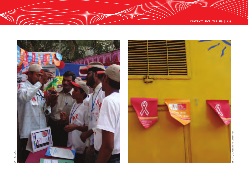



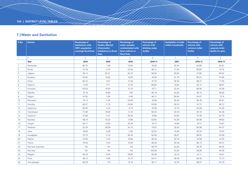## **7 | Water and Sanitation**

| S.No.          | <b>District</b> | <b>Percentage of</b><br>habitations with<br>100% population<br>coverage Rural Area | <b>Percentage of</b><br><b>Quality affected</b><br>(Chemically)<br>habitations in Rural<br>Area | <b>Percentage of</b><br>water samples<br>contaminated with<br>fecal coliform in<br><b>Rural Area</b> | <b>Percentage of</b><br>schools with<br>drinking water<br>facility | <b>Availability of toilet</b><br>within households | <b>Percentage of</b><br>schools with<br>common toilet<br>facility | <b>Percentage of</b><br>schools with<br>separate toilet<br>facility for girls |
|----------------|-----------------|------------------------------------------------------------------------------------|-------------------------------------------------------------------------------------------------|------------------------------------------------------------------------------------------------------|--------------------------------------------------------------------|----------------------------------------------------|-------------------------------------------------------------------|-------------------------------------------------------------------------------|
| $\overline{1}$ | $\overline{2}$  | 3                                                                                  | $\overline{4}$                                                                                  | 5                                                                                                    | 6                                                                  | $\overline{7}$                                     | 8                                                                 | 9                                                                             |
|                | Year            | 2010                                                                               | 2010                                                                                            | 2010                                                                                                 | 2010-11                                                            | 2001                                               | 2010-11                                                           | 2010-11                                                                       |
| $\overline{1}$ | Nandurbar       | 85.75                                                                              | 1.36                                                                                            | 12.00                                                                                                | 97.49                                                              | 20.34                                              | 94.66                                                             | 62.81                                                                         |
| 2              | Dhule           | 72.78                                                                              | 3.70                                                                                            | 22.30                                                                                                | 98.12                                                              | 21.26                                              | 86.83                                                             | 79.75                                                                         |
| 3              | Jalgaon         | 40.14                                                                              | 32.31                                                                                           | 25.70                                                                                                | 98.29                                                              | 26.64                                              | 91.86                                                             | 89.52                                                                         |
| $\overline{4}$ | Buldana         | 50.62                                                                              | 10.92                                                                                           | 18.00                                                                                                | 87.48                                                              | 22.79                                              | 85.24                                                             | 81.66                                                                         |
| 5              | Akola           | 82.22                                                                              | 0.57                                                                                            | 21.30                                                                                                | 91.75                                                              | 38.28                                              | 89.37                                                             | 71.59                                                                         |
| 6              | Washim          | 71.53                                                                              | 17.71                                                                                           | 21.40                                                                                                | 88.63                                                              | 19.05                                              | 92.14                                                             | 88.87                                                                         |
| $\overline{7}$ | Amravati        | 63.03                                                                              | 10.84                                                                                           | 13.70                                                                                                | 97.71                                                              | 43.34                                              | 86.95                                                             | 42.80                                                                         |
| 8              | Wardha          | 74.16                                                                              | 18.89                                                                                           | 7.90                                                                                                 | 96.79                                                              | 40.93                                              | 90.10                                                             | 59.69                                                                         |
| 9              | Nagpur          | 91.50                                                                              | 3.92                                                                                            | 9.40                                                                                                 | 96.12                                                              | 60.84                                              | 94.57                                                             | 73.74                                                                         |
| 10             | Bhandara        | 75.14                                                                              | 11.35                                                                                           | 24.60                                                                                                | 97.28                                                              | 35.46                                              | 95.76                                                             | 85.91                                                                         |
| 11             | Gondiya         | 90.37                                                                              | 2.79                                                                                            | 20.80                                                                                                | 93.59                                                              | 26.23                                              | 91.73                                                             | 88.72                                                                         |
| 12             | Gadchiroli      | 93.55                                                                              | 0.43                                                                                            | 9.70                                                                                                 | 87.38                                                              | 18.75                                              | 82.88                                                             | 44.26                                                                         |
| 13             | Chandrapur      | 73.66                                                                              | 16.82                                                                                           | 13.10                                                                                                | 96.29                                                              | 32.49                                              | 93.18                                                             | 64.38                                                                         |
| 14             | Yavatmal        | 81.85                                                                              | 11.41                                                                                           | 28.50                                                                                                | 87.89                                                              | 23.05                                              | 91.38                                                             | 64.79                                                                         |
| 15             | Nanded          | 68.74                                                                              | 10.22                                                                                           | 27.90                                                                                                | 83.65                                                              | 24.36                                              | 83.99                                                             | 69.64                                                                         |
| 16             | Hingoli         | 66.17                                                                              | 10.60                                                                                           | 33.20                                                                                                | 87.17                                                              | 15.89                                              | 87.17                                                             | 75.67                                                                         |
| 17             | Parbhani        | 52.26                                                                              | 28.68                                                                                           | 24.70                                                                                                | 79.02                                                              | 25.50                                              | 83.99                                                             | 64.57                                                                         |
| 18             | Jalna           | 78.65                                                                              | 8.39                                                                                            | 11.80                                                                                                | 82.03                                                              | 18.86                                              | 82.53                                                             | 79.54                                                                         |
| 19             | Auragabad       | 67.70                                                                              | 0.10                                                                                            | 36.40                                                                                                | 84.58                                                              | 38.67                                              | 89.92                                                             | 63.89                                                                         |
| 20             | Nashik          | 75.82                                                                              | 3.45                                                                                            | 19.80                                                                                                | 90.45                                                              | 30.75                                              | 87.38                                                             | 43.30                                                                         |
| 21             | Thane           | 78.00                                                                              | 3.24                                                                                            | 10.00                                                                                                | 96.29                                                              | 55.46                                              | 96.13                                                             | 84.07                                                                         |
| 22             | Mumbai Suburban | <b>NA</b>                                                                          | <b>NA</b>                                                                                       | <b>NA</b>                                                                                            | 99.79                                                              | 43.55                                              | 95.76                                                             | 88.45                                                                         |
| 23             | Mumbai          | <b>NA</b>                                                                          | <b>NA</b>                                                                                       | <b>NA</b>                                                                                            | 100.00                                                             | 43.62                                              | 95.90                                                             | 93.36                                                                         |
| 24             | Raigarh         | 85.20                                                                              | 0.00                                                                                            | 29.80                                                                                                | 95.28                                                              | 33.10                                              | 91.11                                                             | 33.81                                                                         |
| 25             | Pune            | 86.14                                                                              | 0.90                                                                                            | 15.70                                                                                                | 94.27                                                              | 46.40                                              | 86.48                                                             | 72.73                                                                         |
| 26             | Ahmadnagar      | 83.28                                                                              | 1.75                                                                                            | 15.10                                                                                                | 85.17                                                              | 22.45                                              | 88.07                                                             | 82.16                                                                         |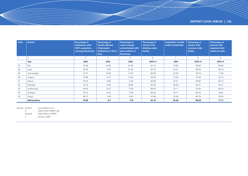| S.No. | <b>District</b> | <b>Percentage of</b><br>habitations with<br>100% population<br>coverage Rural Area | <b>Percentage of</b><br><b>Quality affected</b><br>(Chemically)<br>habitations in Rural<br>Area | Percentage of<br>water samples<br>contaminated with<br>fecal coliform in<br><b>Rural Area</b> | <b>Percentage of</b><br>schools with<br>drinking water<br>facility | <b>Availability of toilet</b><br>within households | <b>Percentage of</b><br>schools with<br>common toilet<br>facility | Percentage of<br>schools with<br>separate toilet<br>facility for girls |
|-------|-----------------|------------------------------------------------------------------------------------|-------------------------------------------------------------------------------------------------|-----------------------------------------------------------------------------------------------|--------------------------------------------------------------------|----------------------------------------------------|-------------------------------------------------------------------|------------------------------------------------------------------------|
|       | 2               | 3                                                                                  |                                                                                                 | 5                                                                                             | 6                                                                  | $\overline{7}$                                     | 8                                                                 | 9                                                                      |
|       | Year            | 2010                                                                               | 2010                                                                                            | 2010                                                                                          | 2010-11                                                            | 2001                                               | 2010-11                                                           | 2010-11                                                                |
| 27    | <b>Bid</b>      | 76.26                                                                              | 16.58                                                                                           | 24.00                                                                                         | 81.73                                                              | 16.82                                              | 86.80                                                             | 66.60                                                                  |
| 28    | Latur           | 42.63                                                                              | 4.55                                                                                            | 32.30                                                                                         | 94.70                                                              | 23.91                                              | 89.35                                                             | 86.19                                                                  |
| 29    | Osmanabad       | 61.37                                                                              | 21.09                                                                                           | 21.20                                                                                         | 92.90                                                              | 22.89                                              | 83.74                                                             | 71.00                                                                  |
| 30    | Solapur         | 78.99                                                                              | 0.70                                                                                            | 21.80                                                                                         | 93.50                                                              | 21.35                                              | 78.48                                                             | 81.14                                                                  |
| 31    | Satara          | 79.22                                                                              | 0.08                                                                                            | 8.40                                                                                          | 95.08                                                              | 24.21                                              | 93.80                                                             | 82.37                                                                  |
| 32    | Ratnagiri       | 91.10                                                                              | 0.03                                                                                            | 18.90                                                                                         | 94.53                                                              | 28.38                                              | 94.41                                                             | 76.47                                                                  |
| 33    | Sindhudurg      | 84.04                                                                              | 0.51                                                                                            | 17.00                                                                                         | 89.63                                                              | 32.17                                              | 92.05                                                             | 69.24                                                                  |
| 34    | Kolhapur        | 79.12                                                                              | 0.45                                                                                            | 11.00                                                                                         | 95.36                                                              | 37.71                                              | 86.34                                                             | 74.61                                                                  |
| 35    | Sangli          | 60.37                                                                              | 1.09                                                                                            | 8.00                                                                                          | 91.98                                                              | 32.80                                              | 90.70                                                             | 78.40                                                                  |
|       | Maharashtra     | 70.82                                                                              | 8.7                                                                                             | 17.9                                                                                          | 92.16                                                              | 35.09                                              | 89.38                                                             | 71.71                                                                  |

*Source : 3 and 4 www.ddws.nic.in* 

*5 State Public Health Lab* 

*6 and 8 DISE 2010-11,MPSP 7 Census, 2001*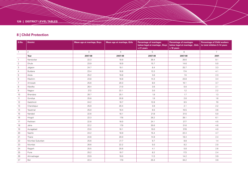## **8 | Child Protection**

| S.No.           | <b>District</b> | Mean age at marriage, Boys | Mean age at marriage, Girls | <b>Percentage of marriages</b><br>below legal at marriage, Boys<br>$< 21$ years | <b>Percentage of marriages</b><br>below legal at marriage, Girls<br>$<$ 18 years | <b>Percentage of Child workers</b><br>to total children 5-14 years |
|-----------------|-----------------|----------------------------|-----------------------------|---------------------------------------------------------------------------------|----------------------------------------------------------------------------------|--------------------------------------------------------------------|
| $\overline{1}$  | $\overline{2}$  | 3                          | $\overline{4}$              | 5                                                                               | 6                                                                                | $7^{\circ}$                                                        |
|                 | Year            | 2007-08                    | 2007-08                     | 2007-08                                                                         | 2007-08                                                                          | 2001                                                               |
| $\overline{1}$  | Nandurbar       | 22.3                       | 18.9                        | 36.4                                                                            | 26.6                                                                             | 8.1                                                                |
| 2               | Dhule           | 23.9                       | 18.9                        | 15.7                                                                            | 14.6                                                                             | 5.0                                                                |
| 3               | Jalgaon         | 24.7                       | 19.1                        | 8.4                                                                             | 20.7                                                                             | 3.3                                                                |
| $\overline{4}$  | Buldana         | 23.4                       | 18.8                        | 13.3                                                                            | 17.4                                                                             | 4.1                                                                |
| 5               | Akola           | 25.2                       | 19.8                        | 3.6                                                                             | 7.4                                                                              | 2.3                                                                |
| 6               | Washim          | 23.8                       | 18.8                        | 14.3                                                                            | 23.8                                                                             | 3.4                                                                |
| $\overline{7}$  | Amravati        | 25.6                       | 20.3                        | 8.0                                                                             | 10.1                                                                             | 3.7                                                                |
| 8               | Wardha          | 26.4                       | 21.0                        | 3.6                                                                             | 0.0                                                                              | 2.1                                                                |
| 9               | Nagpur          | 27.2                       | 22.1                        | 3.0                                                                             | 1.2                                                                              | 2.2                                                                |
| 10 <sup>°</sup> | Bhandara        | 26.7                       | 20.1                        | 1.9                                                                             | 1.7                                                                              | 1.3                                                                |
| 11              | Gondiya         | 25.8                       | 20.8                        | 1.9                                                                             | 2.6                                                                              | 1.6                                                                |
| 12              | Gadchiroli      | 24.2                       | 19.7                        | 12.8                                                                            | 9.5                                                                              | 7.0                                                                |
| 13              | Chandrapur      | 25.9                       | 20.4                        | 3.9                                                                             | 2.1                                                                              | 2.2                                                                |
| 14              | Yavatmal        | 25.0                       | 19.4                        | 6.5                                                                             | 10.5                                                                             | 3.6                                                                |
| 15              | Nanded          | 22.6                       | 18.1                        | 21.8                                                                            | 31.5                                                                             | 5.0                                                                |
| 16              | Hingoli         | 22.3                       | 17.6                        | 26.2                                                                            | 39.1                                                                             | 6.1                                                                |
| 17              | Parbhani        | 22.8                       | 18.0                        | 24.1                                                                            | 27.7                                                                             | 4.5                                                                |
| 18              | Jalna           | 22.2                       | 17.9                        | 30.6                                                                            | 31.6                                                                             | 4.6                                                                |
| 19              | Auragabad       | 23.0                       | 18.1                        | 19.0                                                                            | 37.8                                                                             | 4.0                                                                |
| 20              | Nashik          | 24.2                       | 18.9                        | 15.4                                                                            | 22.4                                                                             | 4.7                                                                |
| 21              | Thane           | 24.6                       | 20.0                        | 14.9                                                                            | 18.4                                                                             | 2.4                                                                |
| 22              | Mumbai Suburban | 25.6                       | 21.7                        | 9.7                                                                             | 8.8                                                                              | 1.4                                                                |
| 23              | Mumbai          | 26.6                       | 22.2                        | 5.0                                                                             | 9.2                                                                              | 2.0                                                                |
| 24              | Raigarh         | 25.5                       | 20.6                        | 4.1                                                                             | 5.8                                                                              | 2.6                                                                |
| 25              | Pune            | 25.2                       | 19.7                        | $8.2\,$                                                                         | 17.3                                                                             | 2.4                                                                |
| 26              | Ahmadnagar      | 23.9                       | 19.0                        | 11.3                                                                            | 14.2                                                                             | 3.9                                                                |
| 27              | <b>Bid</b>      | 22.4                       | 17.9                        | 25.3                                                                            | 34.2                                                                             | 3.9                                                                |